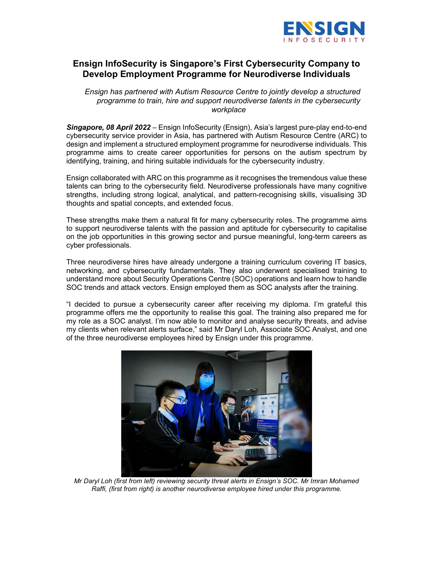

## Ensign InfoSecurity is Singapore's First Cybersecurity Company to Develop Employment Programme for Neurodiverse Individuals

Ensign has partnered with Autism Resource Centre to jointly develop a structured programme to train, hire and support neurodiverse talents in the cybersecurity workplace

Singapore, 08 April 2022 – Ensign InfoSecurity (Ensign), Asia's largest pure-play end-to-end cybersecurity service provider in Asia, has partnered with Autism Resource Centre (ARC) to design and implement a structured employment programme for neurodiverse individuals. This programme aims to create career opportunities for persons on the autism spectrum by identifying, training, and hiring suitable individuals for the cybersecurity industry.

Ensign collaborated with ARC on this programme as it recognises the tremendous value these talents can bring to the cybersecurity field. Neurodiverse professionals have many cognitive strengths, including strong logical, analytical, and pattern-recognising skills, visualising 3D thoughts and spatial concepts, and extended focus.

These strengths make them a natural fit for many cybersecurity roles. The programme aims to support neurodiverse talents with the passion and aptitude for cybersecurity to capitalise on the job opportunities in this growing sector and pursue meaningful, long-term careers as cyber professionals.

Three neurodiverse hires have already undergone a training curriculum covering IT basics, networking, and cybersecurity fundamentals. They also underwent specialised training to understand more about Security Operations Centre (SOC) operations and learn how to handle SOC trends and attack vectors. Ensign employed them as SOC analysts after the training.

"I decided to pursue a cybersecurity career after receiving my diploma. I'm grateful this programme offers me the opportunity to realise this goal. The training also prepared me for my role as a SOC analyst. I'm now able to monitor and analyse security threats, and advise my clients when relevant alerts surface," said Mr Daryl Loh, Associate SOC Analyst, and one of the three neurodiverse employees hired by Ensign under this programme.



Mr Daryl Loh (first from left) reviewing security threat alerts in Ensign's SOC. Mr Imran Mohamed Raffi, (first from right) is another neurodiverse employee hired under this programme.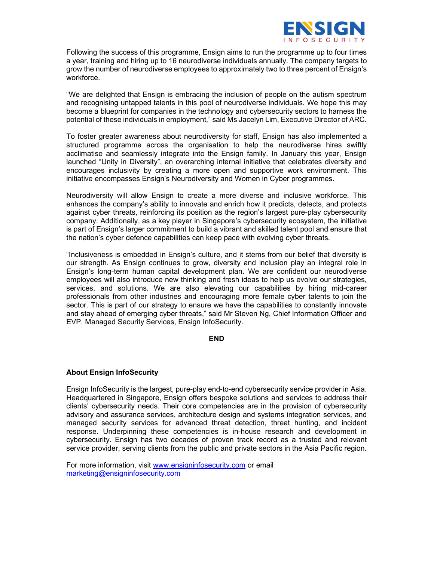

Following the success of this programme, Ensign aims to run the programme up to four times a year, training and hiring up to 16 neurodiverse individuals annually. The company targets to grow the number of neurodiverse employees to approximately two to three percent of Ensign's workforce.

"We are delighted that Ensign is embracing the inclusion of people on the autism spectrum and recognising untapped talents in this pool of neurodiverse individuals. We hope this may become a blueprint for companies in the technology and cybersecurity sectors to harness the potential of these individuals in employment," said Ms Jacelyn Lim, Executive Director of ARC.

To foster greater awareness about neurodiversity for staff, Ensign has also implemented a structured programme across the organisation to help the neurodiverse hires swiftly acclimatise and seamlessly integrate into the Ensign family. In January this year, Ensign launched "Unity in Diversity", an overarching internal initiative that celebrates diversity and encourages inclusivity by creating a more open and supportive work environment. This initiative encompasses Ensign's Neurodiversity and Women in Cyber programmes.

Neurodiversity will allow Ensign to create a more diverse and inclusive workforce. This enhances the company's ability to innovate and enrich how it predicts, detects, and protects against cyber threats, reinforcing its position as the region's largest pure-play cybersecurity company. Additionally, as a key player in Singapore's cybersecurity ecosystem, the initiative is part of Ensign's larger commitment to build a vibrant and skilled talent pool and ensure that the nation's cyber defence capabilities can keep pace with evolving cyber threats.

"Inclusiveness is embedded in Ensign's culture, and it stems from our belief that diversity is our strength. As Ensign continues to grow, diversity and inclusion play an integral role in Ensign's long-term human capital development plan. We are confident our neurodiverse employees will also introduce new thinking and fresh ideas to help us evolve our strategies, services, and solutions. We are also elevating our capabilities by hiring mid-career professionals from other industries and encouraging more female cyber talents to join the sector. This is part of our strategy to ensure we have the capabilities to constantly innovate and stay ahead of emerging cyber threats," said Mr Steven Ng, Chief Information Officer and EVP, Managed Security Services, Ensign InfoSecurity.

#### END

### About Ensign InfoSecurity

Ensign InfoSecurity is the largest, pure-play end-to-end cybersecurity service provider in Asia. Headquartered in Singapore, Ensign offers bespoke solutions and services to address their clients' cybersecurity needs. Their core competencies are in the provision of cybersecurity advisory and assurance services, architecture design and systems integration services, and managed security services for advanced threat detection, threat hunting, and incident response. Underpinning these competencies is in-house research and development in cybersecurity. Ensign has two decades of proven track record as a trusted and relevant service provider, serving clients from the public and private sectors in the Asia Pacific region.

For more information, visit www.ensigninfosecurity.com or email marketing@ensigninfosecurity.com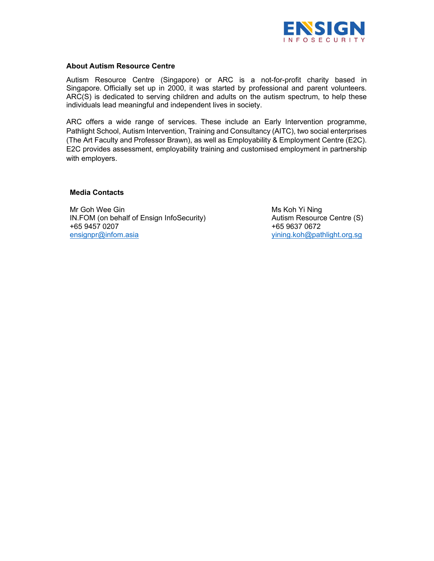

#### About Autism Resource Centre

Autism Resource Centre (Singapore) or ARC is a not-for-profit charity based in Singapore. Officially set up in 2000, it was started by professional and parent volunteers. ARC(S) is dedicated to serving children and adults on the autism spectrum, to help these individuals lead meaningful and independent lives in society.

ARC offers a wide range of services. These include an Early Intervention programme, Pathlight School, Autism Intervention, Training and Consultancy (AITC), two social enterprises (The Art Faculty and Professor Brawn), as well as Employability & Employment Centre (E2C). E2C provides assessment, employability training and customised employment in partnership with employers.

#### Media Contacts

Mr Goh Wee Gin IN.FOM (on behalf of Ensign InfoSecurity) +65 9457 0207 ensignpr@infom.asia

 Ms Koh Yi Ning Autism Resource Centre (S) +65 9637 0672 yining.koh@pathlight.org.sg